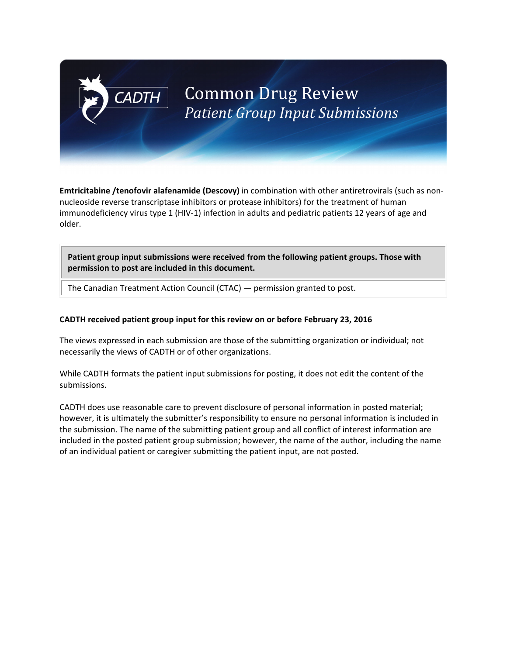# **Common Drug Review** *Patient Group Input Submissions*

**Emtricitabine /tenofovir alafenamide (Descovy)** in combination with other antiretrovirals (such as non‐ nucleoside reverse transcriptase inhibitors or protease inhibitors) for the treatment of human immunodeficiency virus type 1 (HIV‐1) infection in adults and pediatric patients 12 years of age and older.

**Patient group input submissions were received from the following patient groups. Those with permission to post are included in this document.**

The Canadian Treatment Action Council (CTAC) — permission granted to post.

**CADTH** 

#### **CADTH received patient group input for this review on or before February 23, 2016**

The views expressed in each submission are those of the submitting organization or individual; not necessarily the views of CADTH or of other organizations.

While CADTH formats the patient input submissions for posting, it does not edit the content of the submissions.

CADTH does use reasonable care to prevent disclosure of personal information in posted material; however, it is ultimately the submitter's responsibility to ensure no personal information is included in the submission. The name of the submitting patient group and all conflict of interest information are included in the posted patient group submission; however, the name of the author, including the name of an individual patient or caregiver submitting the patient input, are not posted.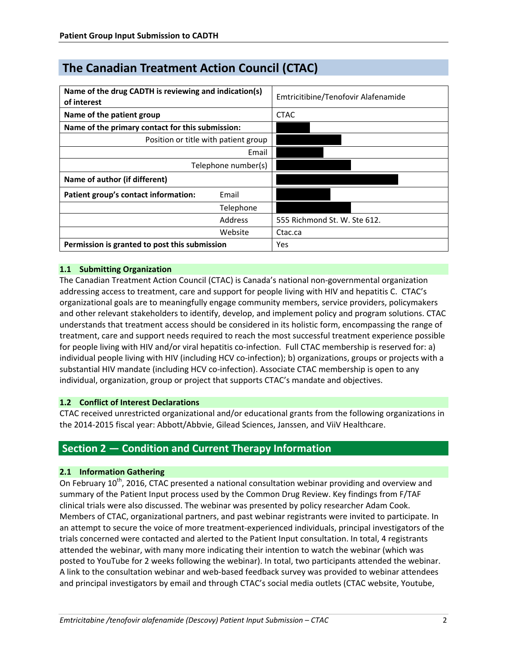# **The Canadian Treatment Action Council (CTAC)**

| Name of the drug CADTH is reviewing and indication(s)<br>of interest |           | Emtricitibine/Tenofovir Alafenamide |
|----------------------------------------------------------------------|-----------|-------------------------------------|
| Name of the patient group                                            |           | <b>CTAC</b>                         |
| Name of the primary contact for this submission:                     |           |                                     |
| Position or title with patient group                                 |           |                                     |
| Email                                                                |           |                                     |
| Telephone number(s)                                                  |           |                                     |
| Name of author (if different)                                        |           |                                     |
| Patient group's contact information:                                 | Email     |                                     |
|                                                                      | Telephone |                                     |
|                                                                      | Address   | 555 Richmond St. W. Ste 612.        |
|                                                                      | Website   | Ctac.ca                             |
| Permission is granted to post this submission                        |           | Yes                                 |

### **1.1 Submitting Organization**

The Canadian Treatment Action Council (CTAC) is Canada's national non‐governmental organization addressing access to treatment, care and support for people living with HIV and hepatitis C. CTAC's organizational goals are to meaningfully engage community members, service providers, policymakers and other relevant stakeholders to identify, develop, and implement policy and program solutions. CTAC understands that treatment access should be considered in its holistic form, encompassing the range of treatment, care and support needs required to reach the most successful treatment experience possible for people living with HIV and/or viral hepatitis co-infection. Full CTAC membership is reserved for: a) individual people living with HIV (including HCV co-infection); b) organizations, groups or projects with a substantial HIV mandate (including HCV co-infection). Associate CTAC membership is open to any individual, organization, group or project that supports CTAC's mandate and objectives.

#### **1.2 Conflict of Interest Declarations**

CTAC received unrestricted organizational and/or educational grants from the following organizations in the 2014‐2015 fiscal year: Abbott/Abbvie, Gilead Sciences, Janssen, and ViiV Healthcare.

# **Section 2 — Condition and Current Therapy Information**

#### **2.1 Information Gathering**

On February  $10^{th}$ , 2016, CTAC presented a national consultation webinar providing and overview and summary of the Patient Input process used by the Common Drug Review. Key findings from F/TAF clinical trials were also discussed. The webinar was presented by policy researcher Adam Cook. Members of CTAC, organizational partners, and past webinar registrants were invited to participate. In an attempt to secure the voice of more treatment‐experienced individuals, principal investigators of the trials concerned were contacted and alerted to the Patient Input consultation. In total, 4 registrants attended the webinar, with many more indicating their intention to watch the webinar (which was posted to YouTube for 2 weeks following the webinar). In total, two participants attended the webinar. A link to the consultation webinar and web‐based feedback survey was provided to webinar attendees and principal investigators by email and through CTAC's social media outlets (CTAC website, Youtube,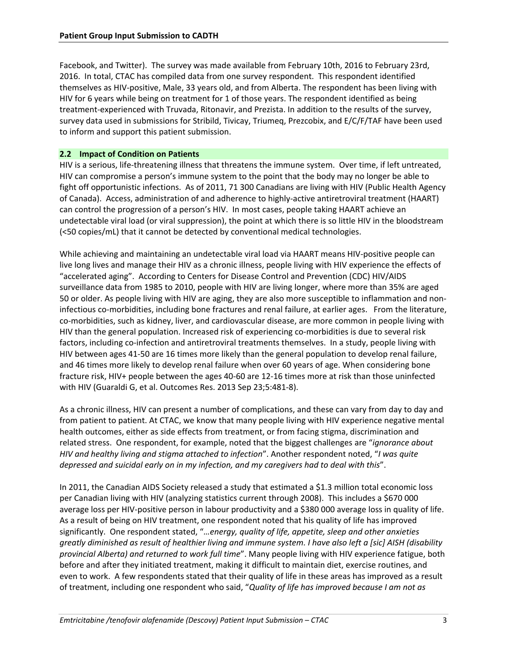Facebook, and Twitter). The survey was made available from February 10th, 2016 to February 23rd, 2016. In total, CTAC has compiled data from one survey respondent. This respondent identified themselves as HIV‐positive, Male, 33 years old, and from Alberta. The respondent has been living with HIV for 6 years while being on treatment for 1 of those years. The respondent identified as being treatment‐experienced with Truvada, Ritonavir, and Prezista. In addition to the results of the survey, survey data used in submissions for Stribild, Tivicay, Triumeq, Prezcobix, and E/C/F/TAF have been used to inform and support this patient submission.

#### **2.2 Impact of Condition on Patients**

HIV is a serious, life-threatening illness that threatens the immune system. Over time, if left untreated, HIV can compromise a person's immune system to the point that the body may no longer be able to fight off opportunistic infections. As of 2011, 71 300 Canadians are living with HIV (Public Health Agency of Canada). Access, administration of and adherence to highly‐active antiretroviral treatment (HAART) can control the progression of a person's HIV. In most cases, people taking HAART achieve an undetectable viral load (or viral suppression), the point at which there is so little HIV in the bloodstream (<50 copies/mL) that it cannot be detected by conventional medical technologies.

While achieving and maintaining an undetectable viral load via HAART means HIV‐positive people can live long lives and manage their HIV as a chronic illness, people living with HIV experience the effects of "accelerated aging". According to Centers for Disease Control and Prevention (CDC) HIV/AIDS surveillance data from 1985 to 2010, people with HIV are living longer, where more than 35% are aged 50 or older. As people living with HIV are aging, they are also more susceptible to inflammation and non‐ infectious co-morbidities, including bone fractures and renal failure, at earlier ages. From the literature, co‐morbidities, such as kidney, liver, and cardiovascular disease, are more common in people living with HIV than the general population. Increased risk of experiencing co-morbidities is due to several risk factors, including co-infection and antiretroviral treatments themselves. In a study, people living with HIV between ages 41‐50 are 16 times more likely than the general population to develop renal failure, and 46 times more likely to develop renal failure when over 60 years of age. When considering bone fracture risk, HIV+ people between the ages 40‐60 are 12‐16 times more at risk than those uninfected with HIV (Guaraldi G, et al. Outcomes Res. 2013 Sep 23;5:481‐8).

As a chronic illness, HIV can present a number of complications, and these can vary from day to day and from patient to patient. At CTAC, we know that many people living with HIV experience negative mental health outcomes, either as side effects from treatment, or from facing stigma, discrimination and related stress. One respondent, for example, noted that the biggest challenges are "*ignorance about HIV and healthy living and stigma attached to infection*". Another respondent noted, "*I was quite depressed and suicidal early on in my infection, and my caregivers had to deal with this*".

In 2011, the Canadian AIDS Society released a study that estimated a \$1.3 million total economic loss per Canadian living with HIV (analyzing statistics current through 2008). This includes a \$670 000 average loss per HIV‐positive person in labour productivity and a \$380 000 average loss in quality of life. As a result of being on HIV treatment, one respondent noted that his quality of life has improved significantly. One respondent stated, "*…energy, quality of life, appetite, sleep and other anxieties greatly diminished as result of healthier living and immune system. I have also left a [sic] AISH (disability provincial Alberta) and returned to work full time*". Many people living with HIV experience fatigue, both before and after they initiated treatment, making it difficult to maintain diet, exercise routines, and even to work. A few respondents stated that their quality of life in these areas has improved as a result of treatment, including one respondent who said, "*Quality of life has improved because I am not as*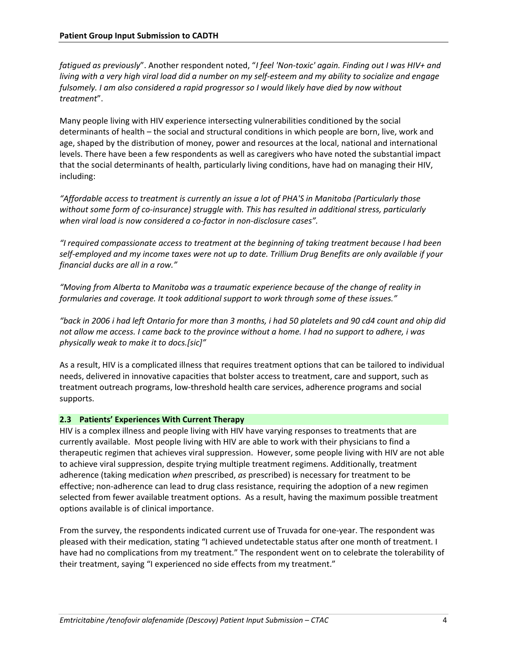*fatigued as previously*". Another respondent noted, "*I feel 'Non‐toxic' again. Finding out I was HIV+ and living with a very high viral load did a number on my self‐esteem and my ability to socialize and engage fulsomely. I am also considered a rapid progressor so I would likely have died by now without treatment*".

Many people living with HIV experience intersecting vulnerabilities conditioned by the social determinants of health – the social and structural conditions in which people are born, live, work and age, shaped by the distribution of money, power and resources at the local, national and international levels. There have been a few respondents as well as caregivers who have noted the substantial impact that the social determinants of health, particularly living conditions, have had on managing their HIV, including:

*"Affordable access to treatment is currently an issue a lot of PHA'S in Manitoba (Particularly those without some form of co‐insurance) struggle with. This has resulted in additional stress, particularly when viral load is now considered a co‐factor in non‐disclosure cases".* 

*"I required compassionate access to treatment at the beginning of taking treatment because I had been self‐employed and my income taxes were not up to date. Trillium Drug Benefits are only available if your financial ducks are all in a row."* 

*"Moving from Alberta to Manitoba was a traumatic experience because of the change of reality in formularies and coverage. It took additional support to work through some of these issues."* 

*"back in 2006 i had left Ontario for more than 3 months, i had 50 platelets and 90 cd4 count and ohip did not allow me access. I came back to the province without a home. I had no support to adhere, i was physically weak to make it to docs.[sic]"* 

As a result, HIV is a complicated illness that requires treatment options that can be tailored to individual needs, delivered in innovative capacities that bolster access to treatment, care and support, such as treatment outreach programs, low‐threshold health care services, adherence programs and social supports.

#### **2.3 Patients' Experiences With Current Therapy**

HIV is a complex illness and people living with HIV have varying responses to treatments that are currently available. Most people living with HIV are able to work with their physicians to find a therapeutic regimen that achieves viral suppression. However, some people living with HIV are not able to achieve viral suppression, despite trying multiple treatment regimens. Additionally, treatment adherence (taking medication *when* prescribed, *as* prescribed) is necessary for treatment to be effective; non-adherence can lead to drug class resistance, requiring the adoption of a new regimen selected from fewer available treatment options. As a result, having the maximum possible treatment options available is of clinical importance.

From the survey, the respondents indicated current use of Truvada for one-year. The respondent was pleased with their medication, stating "I achieved undetectable status after one month of treatment. I have had no complications from my treatment." The respondent went on to celebrate the tolerability of their treatment, saying "I experienced no side effects from my treatment."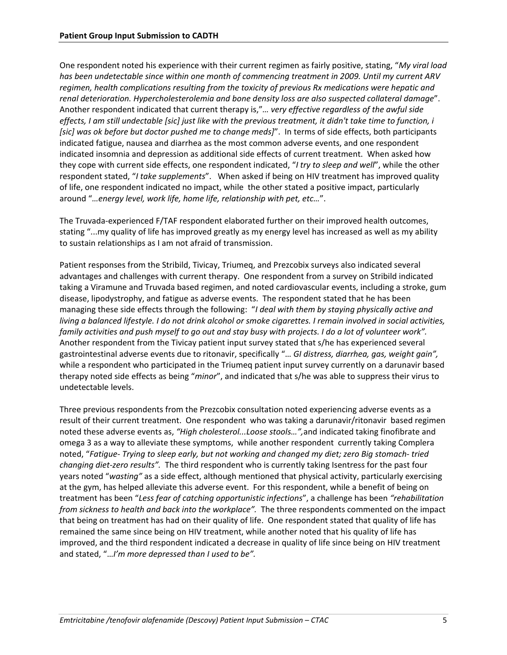One respondent noted his experience with their current regimen as fairly positive, stating, "*My viral load has been undetectable since within one month of commencing treatment in 2009. Until my current ARV regimen, health complications resulting from the toxicity of previous Rx medications were hepatic and renal deterioration. Hypercholesterolemia and bone density loss are also suspected collateral damage*". Another respondent indicated that current therapy is,"*… very effective regardless of the awful side effects, I am still undectable [sic] just like with the previous treatment, it didn't take time to function, i [sic] was ok before but doctor pushed me to change meds]*". In terms of side effects, both participants indicated fatigue, nausea and diarrhea as the most common adverse events, and one respondent indicated insomnia and depression as additional side effects of current treatment. When asked how they cope with current side effects, one respondent indicated, "*I try to sleep and well*", while the other respondent stated, "*I take supplements*". When asked if being on HIV treatment has improved quality of life, one respondent indicated no impact, while the other stated a positive impact, particularly around "*…energy level, work life, home life, relationship with pet, etc…*".

The Truvada‐experienced F/TAF respondent elaborated further on their improved health outcomes, stating "...my quality of life has improved greatly as my energy level has increased as well as my ability to sustain relationships as I am not afraid of transmission.

Patient responses from the Stribild, Tivicay, Triumeq, and Prezcobix surveys also indicated several advantages and challenges with current therapy. One respondent from a survey on Stribild indicated taking a Viramune and Truvada based regimen, and noted cardiovascular events, including a stroke, gum disease, lipodystrophy, and fatigue as adverse events. The respondent stated that he has been managing these side effects through the following: "*I deal with them by staying physically active and living a balanced lifestyle. I do not drink alcohol or smoke cigarettes. I remain involved in social activities, family activities and push myself to go out and stay busy with projects. I do a lot of volunteer work".*  Another respondent from the Tivicay patient input survey stated that s/he has experienced several gastrointestinal adverse events due to ritonavir, specifically "… *GI distress, diarrhea, gas, weight gain",*  while a respondent who participated in the Triumeq patient input survey currently on a darunavir based therapy noted side effects as being "*minor*", and indicated that s/he was able to suppress their virus to undetectable levels.

Three previous respondents from the Prezcobix consultation noted experiencing adverse events as a result of their current treatment. One respondent who was taking a darunavir/ritonavir based regimen noted these adverse events as, *"High cholesterol...Loose stools…",*and indicated taking finofibrate and omega 3 as a way to alleviate these symptoms, while another respondent currently taking Complera noted, "*Fatigue‐ Trying to sleep early, but not working and changed my diet; zero Big stomach‐ tried changing diet‐zero results".* The third respondent who is currently taking Isentress for the past four years noted "*wasting"* as a side effect, although mentioned that physical activity, particularly exercising at the gym, has helped alleviate this adverse event. For this respondent, while a benefit of being on treatment has been "*Less fear of catching opportunistic infections*", a challenge has been *"rehabilitation from sickness to health and back into the workplace".* The three respondents commented on the impact that being on treatment has had on their quality of life. One respondent stated that quality of life has remained the same since being on HIV treatment, while another noted that his quality of life has improved, and the third respondent indicated a decrease in quality of life since being on HIV treatment and stated, "…*I'm more depressed than I used to be".*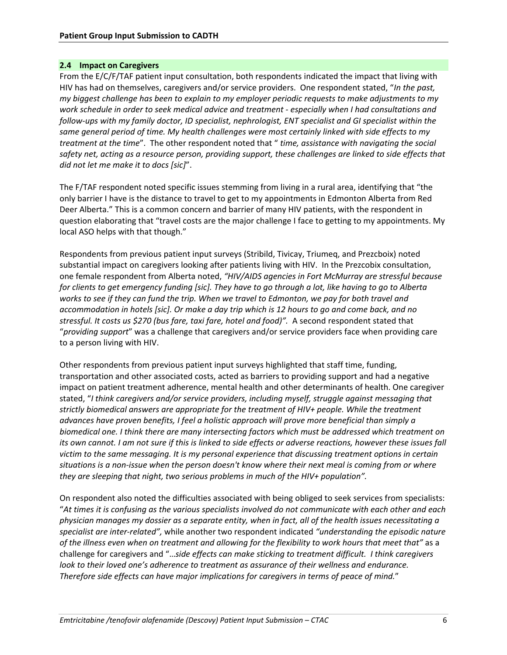#### **2.4 Impact on Caregivers**

From the E/C/F/TAF patient input consultation, both respondents indicated the impact that living with HIV has had on themselves, caregivers and/or service providers. One respondent stated, "*In the past, my biggest challenge has been to explain to my employer periodic requests to make adjustments to my work schedule in order to seek medical advice and treatment ‐ especially when I had consultations and follow‐ups with my family doctor, ID specialist, nephrologist, ENT specialist and GI specialist within the same general period of time. My health challenges were most certainly linked with side effects to my treatment at the time*". The other respondent noted that " *time, assistance with navigating the social*  safety net, acting as a resource person, providing support, these challenges are linked to side effects that *did not let me make it to docs [sic]*".

The F/TAF respondent noted specific issues stemming from living in a rural area, identifying that "the only barrier I have is the distance to travel to get to my appointments in Edmonton Alberta from Red Deer Alberta." This is a common concern and barrier of many HIV patients, with the respondent in question elaborating that "travel costs are the major challenge I face to getting to my appointments. My local ASO helps with that though."

Respondents from previous patient input surveys (Stribild, Tivicay, Triumeq, and Prezcboix) noted substantial impact on caregivers looking after patients living with HIV. In the Prezcobix consultation, one female respondent from Alberta noted, *"HIV/AIDS agencies in Fort McMurray are stressful because for clients to get emergency funding [sic]. They have to go through a lot, like having to go to Alberta works to see if they can fund the trip. When we travel to Edmonton, we pay for both travel and accommodation in hotels [sic]. Or make a day trip which is 12 hours to go and come back, and no stressful. It costs us \$270 (bus fare, taxi fare, hotel and food)".* A second respondent stated that "*providing support*" was a challenge that caregivers and/or service providers face when providing care to a person living with HIV.

Other respondents from previous patient input surveys highlighted that staff time, funding, transportation and other associated costs, acted as barriers to providing support and had a negative impact on patient treatment adherence, mental health and other determinants of health. One caregiver stated, "*I think caregivers and/or service providers, including myself, struggle against messaging that strictly biomedical answers are appropriate for the treatment of HIV+ people. While the treatment advances have proven benefits, I feel a holistic approach will prove more beneficial than simply a biomedical one. I think there are many intersecting factors which must be addressed which treatment on its own cannot. I am not sure if this is linked to side effects or adverse reactions, however these issues fall victim to the same messaging. It is my personal experience that discussing treatment options in certain situations is a non‐issue when the person doesn't know where their next meal is coming from or where they are sleeping that night, two serious problems in much of the HIV+ population".*

On respondent also noted the difficulties associated with being obliged to seek services from specialists: "*At times it is confusing as the various specialists involved do not communicate with each other and each physician manages my dossier as a separate entity, when in fact, all of the health issues necessitating a specialist are inter‐related",* while another two respondent indicated *"understanding the episodic nature of the illness even when on treatment and allowing for the flexibility to work hours that meet that"* as a challenge for caregivers and "…*side effects can make sticking to treatment difficult. I think caregivers look to their loved one's adherence to treatment as assurance of their wellness and endurance. Therefore side effects can have major implications for caregivers in terms of peace of mind.*"